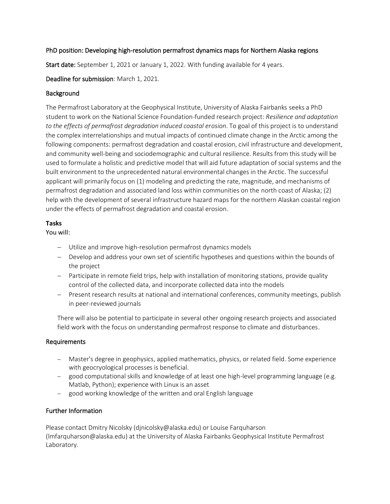## PhD position: Developing high-resolution permafrost dynamics maps for Northern Alaska regions

Start date: September 1, 2021 or January 1, 2022. With funding available for 4 years.

Deadline for submission: March 1, 2021.

# **Background**

The Permafrost Laboratory at the Geophysical Institute, University of Alaska Fairbanks seeks a PhD student to work on the National Science Foundation-funded research project: *Resilience and adaptation to the effects of permafrost degradation induced coastal erosion*. To goal of this project is to understand the complex interrelationships and mutual impacts of continued climate change in the Arctic among the following components: permafrost degradation and coastal erosion, civil infrastructure and development, and community well-being and sociodemographic and cultural resilience. Results from this study will be used to formulate a holistic and predictive model that will aid future adaptation of social systems and the built environment to the unprecedented natural environmental changes in the Arctic. The successful applicant will primarily focus on (1) modeling and predicting the rate, magnitude, and mechanisms of permafrost degradation and associated land loss within communities on the north coast of Alaska; (2) help with the development of several infrastructure hazard maps for the northern Alaskan coastal region under the effects of permafrost degradation and coastal erosion.

## **Tasks**

You will:

- − Utilize and improve high-resolution permafrost dynamics models
- − Develop and address your own set of scientific hypotheses and questions within the bounds of the project
- − Participate in remote field trips, help with installation of monitoring stations, provide quality control of the collected data, and incorporate collected data into the models
- − Present research results at national and international conferences, community meetings, publish in peer-reviewed journals

There will also be potential to participate in several other ongoing research projects and associated field work with the focus on understanding permafrost response to climate and disturbances.

#### Requirements

- − Master's degree in geophysics, applied mathematics, physics, or related field. Some experience with geocryological processes is beneficial.
- − good computational skills and knowledge of at least one high-level programming language (e.g. Matlab, Python); experience with Linux is an asset
- − good working knowledge of the written and oral English language

# Further Information

Please contact Dmitry Nicolsky (djnicolsky@alaska.edu) or Louise Farquharson (lmfarquharson@alaska.edu) at the University of Alaska Fairbanks Geophysical Institute Permafrost Laboratory.